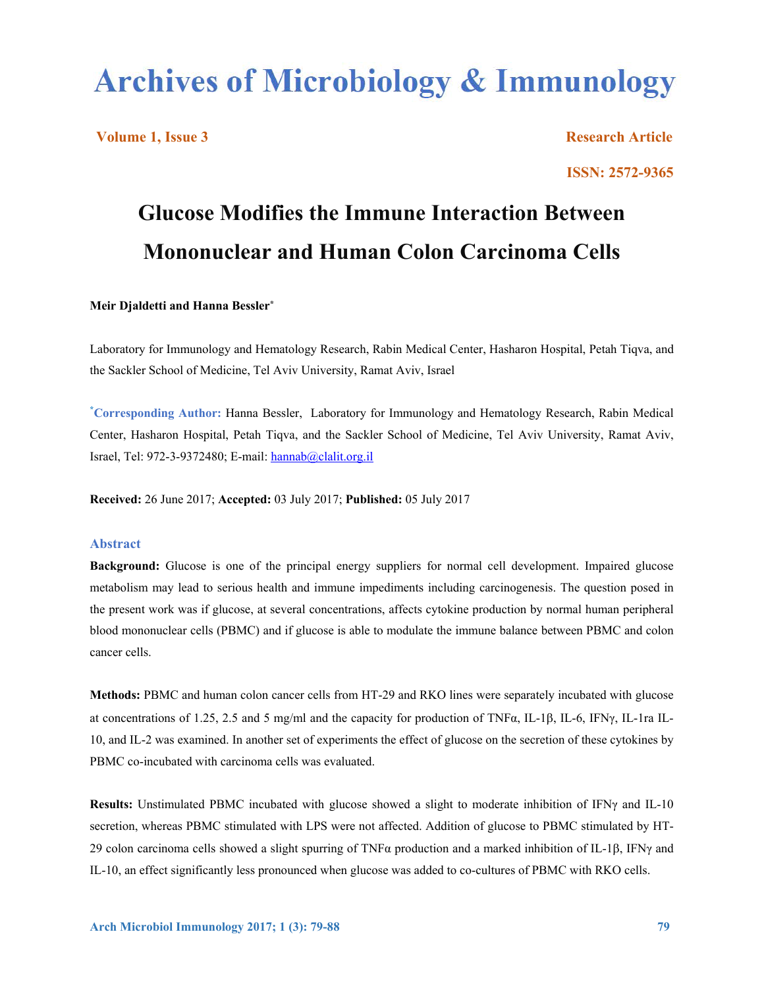# **Archives of Microbiology & Immunology**

**Volume 1, Issue 3** Research Article **Research Article Research Article ISSN: 2572-9365**

# **Glucose Modifies the Immune Interaction Between Mononuclear and Human Colon Carcinoma Cells**

#### **Meir Djaldetti and Hanna Bessler\***

Laboratory for Immunology and Hematology Research, Rabin Medical Center, Hasharon Hospital, Petah Tiqva, and the Sackler School of Medicine, Tel Aviv University, Ramat Aviv, Israel

**\* Corresponding Author:** Hanna Bessler, Laboratory for Immunology and Hematology Research, Rabin Medical Center, Hasharon Hospital, Petah Tiqva, and the Sackler School of Medicine, Tel Aviv University, Ramat Aviv, Israel, Tel: 972-3-9372480; E-mail: hannab@clalit.org.il

**Received:** 26 June 2017; **Accepted:** 03 July 2017; **Published:** 05 July 2017

#### **Abstract**

**Background:** Glucose is one of the principal energy suppliers for normal cell development. Impaired glucose metabolism may lead to serious health and immune impediments including carcinogenesis. The question posed in the present work was if glucose, at several concentrations, affects cytokine production by normal human peripheral blood mononuclear cells (PBMC) and if glucose is able to modulate the immune balance between PBMC and colon cancer cells.

**Methods:** PBMC and human colon cancer cells from HT-29 and RKO lines were separately incubated with glucose at concentrations of 1.25, 2.5 and 5 mg/ml and the capacity for production of TNF $\alpha$ , IL-1 $\beta$ , IL-6, IFN $\gamma$ , IL-1ra IL-10, and IL-2 was examined. In another set of experiments the effect of glucose on the secretion of these cytokines by PBMC co-incubated with carcinoma cells was evaluated.

**Results:** Unstimulated PBMC incubated with glucose showed a slight to moderate inhibition of IFNγ and IL-10 secretion, whereas PBMC stimulated with LPS were not affected. Addition of glucose to PBMC stimulated by HT-29 colon carcinoma cells showed a slight spurring of TNF $\alpha$  production and a marked inhibition of IL-1 $\beta$ , IFN $\gamma$  and IL-10, an effect significantly less pronounced when glucose was added to co-cultures of PBMC with RKO cells.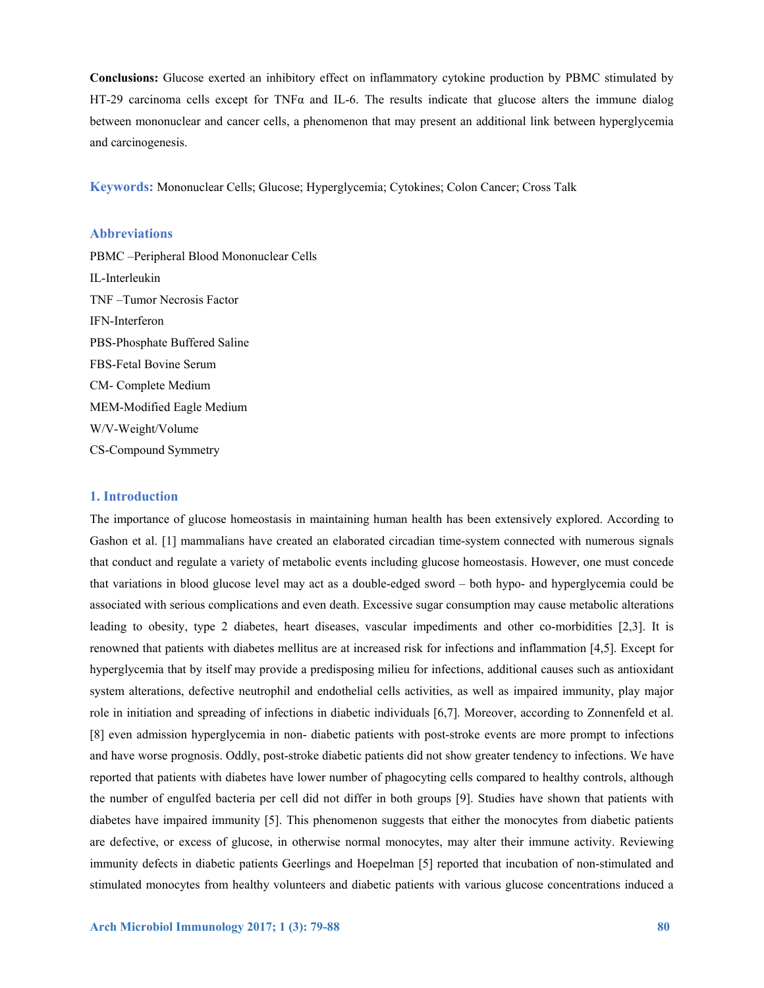**Conclusions:** Glucose exerted an inhibitory effect on inflammatory cytokine production by PBMC stimulated by HT-29 carcinoma cells except for TNFα and IL-6. The results indicate that glucose alters the immune dialog between mononuclear and cancer cells, a phenomenon that may present an additional link between hyperglycemia and carcinogenesis.

**Keywords:** Mononuclear Cells; Glucose; Hyperglycemia; Cytokines; Colon Cancer; Cross Talk

# **Abbreviations**

PBMC –Peripheral Blood Mononuclear Cells IL-Interleukin TNF –Tumor Necrosis Factor IFN-Interferon PBS-Phosphate Buffered Saline FBS-Fetal Bovine Serum CM- Complete Medium MEM-Modified Eagle Medium W/V-Weight/Volume CS-Compound Symmetry

#### **1. Introduction**

The importance of glucose homeostasis in maintaining human health has been extensively explored. According to Gashon et al. [1] mammalians have created an elaborated circadian time-system connected with numerous signals that conduct and regulate a variety of metabolic events including glucose homeostasis. However, one must concede that variations in blood glucose level may act as a double-edged sword – both hypo- and hyperglycemia could be associated with serious complications and even death. Excessive sugar consumption may cause metabolic alterations leading to obesity, type 2 diabetes, heart diseases, vascular impediments and other co-morbidities [2,3]. It is renowned that patients with diabetes mellitus are at increased risk for infections and inflammation [4,5]. Except for hyperglycemia that by itself may provide a predisposing milieu for infections, additional causes such as antioxidant system alterations, defective neutrophil and endothelial cells activities, as well as impaired immunity, play major role in initiation and spreading of infections in diabetic individuals [6,7]. Moreover, according to Zonnenfeld et al. [8] even admission hyperglycemia in non- diabetic patients with post-stroke events are more prompt to infections and have worse prognosis. Oddly, post-stroke diabetic patients did not show greater tendency to infections. We have reported that patients with diabetes have lower number of phagocyting cells compared to healthy controls, although the number of engulfed bacteria per cell did not differ in both groups [9]. Studies have shown that patients with diabetes have impaired immunity [5]. This phenomenon suggests that either the monocytes from diabetic patients are defective, or excess of glucose, in otherwise normal monocytes, may alter their immune activity. Reviewing immunity defects in diabetic patients Geerlings and Hoepelman [5] reported that incubation of non-stimulated and stimulated monocytes from healthy volunteers and diabetic patients with various glucose concentrations induced a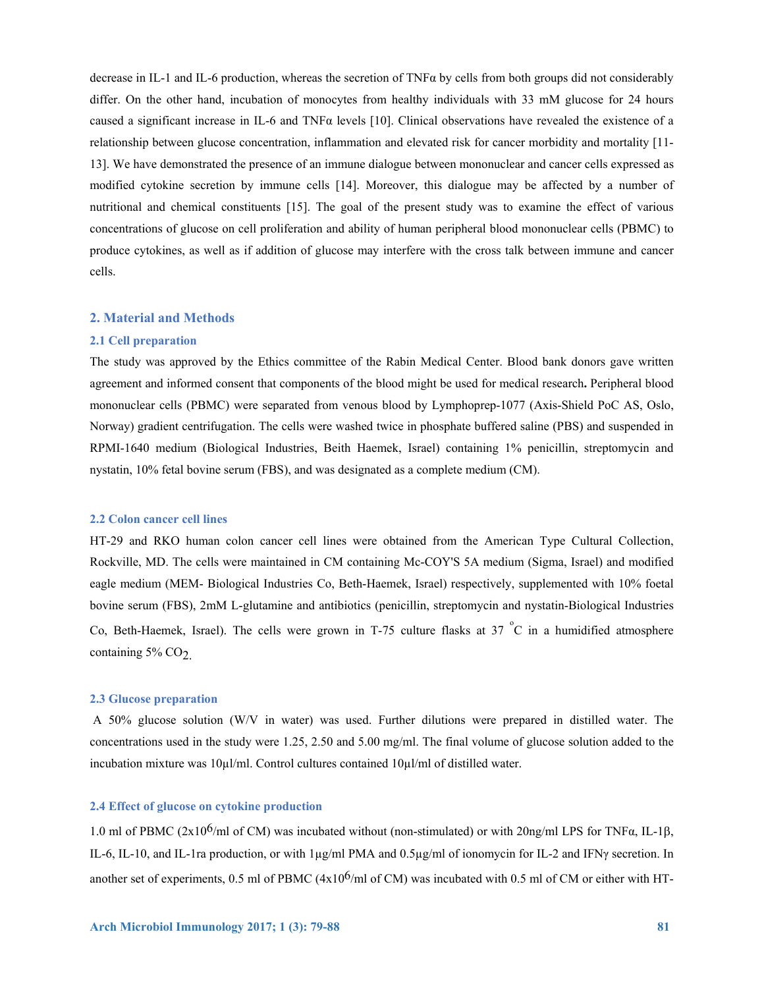decrease in IL-1 and IL-6 production, whereas the secretion of  $TNF\alpha$  by cells from both groups did not considerably differ. On the other hand, incubation of monocytes from healthy individuals with 33 mM glucose for 24 hours caused a significant increase in IL-6 and TNF $\alpha$  levels [10]. Clinical observations have revealed the existence of a relationship between glucose concentration, inflammation and elevated risk for cancer morbidity and mortality [11- 13]. We have demonstrated the presence of an immune dialogue between mononuclear and cancer cells expressed as modified cytokine secretion by immune cells [14]. Moreover, this dialogue may be affected by a number of nutritional and chemical constituents [15]. The goal of the present study was to examine the effect of various concentrations of glucose on cell proliferation and ability of human peripheral blood mononuclear cells (PBMC) to produce cytokines, as well as if addition of glucose may interfere with the cross talk between immune and cancer cells.

#### **2. Material and Methods**

#### **2.1 Cell preparation**

The study was approved by the Ethics committee of the Rabin Medical Center. Blood bank donors gave written agreement and informed consent that components of the blood might be used for medical research**.** Peripheral blood mononuclear cells (PBMC) were separated from venous blood by Lymphoprep-1077 (Axis-Shield PoC AS, Oslo, Norway) gradient centrifugation. The cells were washed twice in phosphate buffered saline (PBS) and suspended in RPMI-1640 medium (Biological Industries, Beith Haemek, Israel) containing 1% penicillin, streptomycin and nystatin, 10% fetal bovine serum (FBS), and was designated as a complete medium (CM).

#### **2.2 Colon cancer cell lines**

HT-29 and RKO human colon cancer cell lines were obtained from the American Type Cultural Collection, Rockville, MD. The cells were maintained in CM containing Mc-COY'S 5A medium (Sigma, Israel) and modified eagle medium (MEM- Biological Industries Co, Beth-Haemek, Israel) respectively, supplemented with 10% foetal bovine serum (FBS), 2mM L-glutamine and antibiotics (penicillin, streptomycin and nystatin-Biological Industries Co, Beth-Haemek, Israel). The cells were grown in T-75 culture flasks at 37  $\degree$ C in a humidified atmosphere containing  $5\%$  CO<sub>2</sub>.

# **2.3 Glucose preparation**

 A 50% glucose solution (W/V in water) was used. Further dilutions were prepared in distilled water. The concentrations used in the study were 1.25, 2.50 and 5.00 mg/ml. The final volume of glucose solution added to the incubation mixture was 10µl/ml. Control cultures contained 10µl/ml of distilled water.

#### **2.4 Effect of glucose on cytokine production**

1.0 ml of PBMC (2x10<sup>6</sup>/ml of CM) was incubated without (non-stimulated) or with 20ng/ml LPS for TNF $\alpha$ , IL-1 $\beta$ , IL-6, IL-10, and IL-1ra production, or with 1µg/ml PMA and 0.5µg/ml of ionomycin for IL-2 and IFNγ secretion. In another set of experiments, 0.5 ml of PBMC ( $4x10^6$ /ml of CM) was incubated with 0.5 ml of CM or either with HT-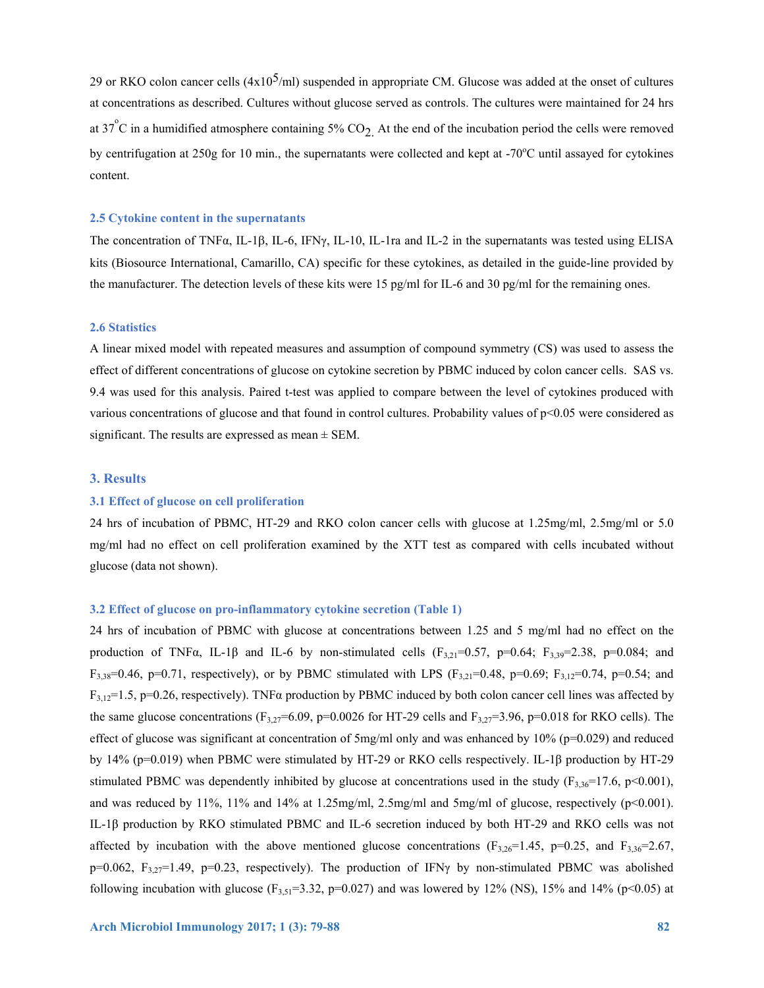29 or RKO colon cancer cells  $(4x10^5/ml)$  suspended in appropriate CM. Glucose was added at the onset of cultures at concentrations as described. Cultures without glucose served as controls. The cultures were maintained for 24 hrs at 37<sup>°</sup>C in a humidified atmosphere containing 5%  $CO<sub>2</sub>$ . At the end of the incubation period the cells were removed by centrifugation at 250g for 10 min., the supernatants were collected and kept at -70°C until assayed for cytokines content.

#### **2.5 Cytokine content in the supernatants**

The concentration of TNF $\alpha$ , IL-1 $\beta$ , IL-6, IFN $\gamma$ , IL-10, IL-1ra and IL-2 in the supernatants was tested using ELISA kits (Biosource International, Camarillo, CA) specific for these cytokines, as detailed in the guide-line provided by the manufacturer. The detection levels of these kits were 15 pg/ml for IL-6 and 30 pg/ml for the remaining ones.

#### **2.6 Statistics**

A linear mixed model with repeated measures and assumption of compound symmetry (CS) was used to assess the effect of different concentrations of glucose on cytokine secretion by PBMC induced by colon cancer cells. SAS vs. 9.4 was used for this analysis. Paired t-test was applied to compare between the level of cytokines produced with various concentrations of glucose and that found in control cultures. Probability values of p<0.05 were considered as significant. The results are expressed as mean  $\pm$  SEM.

#### **3. Results**

#### **3.1 Effect of glucose on cell proliferation**

24 hrs of incubation of PBMC, HT-29 and RKO colon cancer cells with glucose at 1.25mg/ml, 2.5mg/ml or 5.0 mg/ml had no effect on cell proliferation examined by the XTT test as compared with cells incubated without glucose (data not shown).

## **3.2 Effect of glucose on pro-inflammatory cytokine secretion (Table 1)**

24 hrs of incubation of PBMC with glucose at concentrations between 1.25 and 5 mg/ml had no effect on the production of TNF $\alpha$ , IL-1 $\beta$  and IL-6 by non-stimulated cells (F<sub>3,21</sub>=0.57, p=0.64; F<sub>3,39</sub>=2.38, p=0.084; and  $F_{3,38}=0.46$ , p=0.71, respectively), or by PBMC stimulated with LPS ( $F_{3,21}=0.48$ , p=0.69;  $F_{3,12}=0.74$ , p=0.54; and  $F_{3,12}=1.5$ , p=0.26, respectively). TNF $\alpha$  production by PBMC induced by both colon cancer cell lines was affected by the same glucose concentrations (F<sub>3,27</sub>=6.09, p=0.0026 for HT-29 cells and F<sub>3,27</sub>=3.96, p=0.018 for RKO cells). The effect of glucose was significant at concentration of  $5mg/ml$  only and was enhanced by  $10\%$  (p=0.029) and reduced by 14% (p=0.019) when PBMC were stimulated by HT-29 or RKO cells respectively. IL-1β production by HT-29 stimulated PBMC was dependently inhibited by glucose at concentrations used in the study ( $F_{3,36}=17.6$ , p<0.001), and was reduced by 11%, 11% and 14% at 1.25mg/ml, 2.5mg/ml and 5mg/ml of glucose, respectively ( $p$ <0.001). IL-1β production by RKO stimulated PBMC and IL-6 secretion induced by both HT-29 and RKO cells was not affected by incubation with the above mentioned glucose concentrations ( $F_{3,26}=1.45$ ,  $p=0.25$ , and  $F_{3,36}=2.67$ , p=0.062, F3,27=1.49, p=0.23, respectively). The production of IFNγ by non-stimulated PBMC was abolished following incubation with glucose  $(F_{3,5} = 3.32, p=0.027)$  and was lowered by 12% (NS), 15% and 14% (p<0.05) at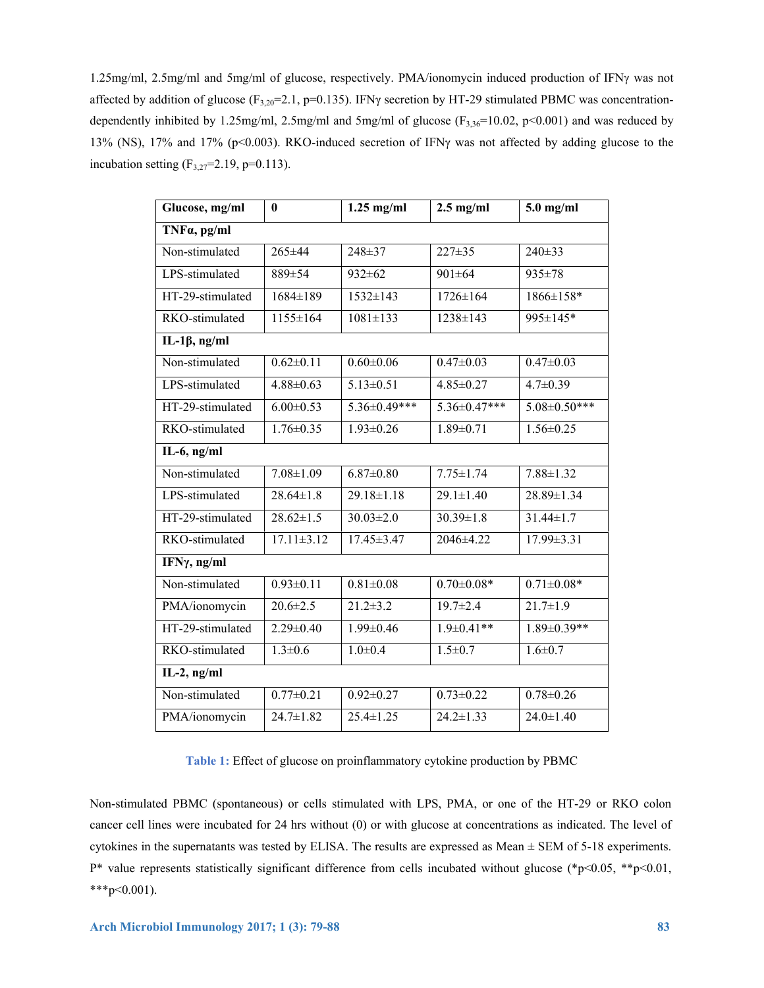1.25mg/ml, 2.5mg/ml and 5mg/ml of glucose, respectively. PMA/ionomycin induced production of IFNγ was not affected by addition of glucose ( $F_{3,20}=2.1$ , p=0.135). IFN $\gamma$  secretion by HT-29 stimulated PBMC was concentrationdependently inhibited by 1.25mg/ml, 2.5mg/ml and 5mg/ml of glucose  $(F_{3,36}=10.02, p<0.001)$  and was reduced by 13% (NS), 17% and 17% (p<0.003). RKO-induced secretion of IFNγ was not affected by adding glucose to the incubation setting  $(F_{3,27}=2.19, p=0.113)$ .

| Glucose, mg/ml       | $\bf{0}$         | $1.25$ mg/ml     | $2.5$ mg/ml                | $5.0$ mg/ml         |  |  |  |
|----------------------|------------------|------------------|----------------------------|---------------------|--|--|--|
| TNFa, pg/ml          |                  |                  |                            |                     |  |  |  |
| Non-stimulated       | 265±44           | 248±37           | $227 \pm 35$               | $240 \pm 33$        |  |  |  |
| LPS-stimulated       | 889±54           | $932 \pm 62$     | $901 \pm 64$               | 935±78              |  |  |  |
| HT-29-stimulated     | $1684 \pm 189$   | $1532 \pm 143$   | $1726 \pm 164$             | 1866±158*           |  |  |  |
| RKO-stimulated       | 1155±164         | $1081 \pm 133$   | 1238±143                   | 995±145*            |  |  |  |
| IL-1 $\beta$ , ng/ml |                  |                  |                            |                     |  |  |  |
| Non-stimulated       | $0.62 \pm 0.11$  | $0.60 \pm 0.06$  | $0.47 \pm 0.03$            | $0.47 \pm 0.03$     |  |  |  |
| LPS-stimulated       | $4.88 \pm 0.63$  | $5.13 \pm 0.51$  | $4.85 \pm 0.27$            | $4.7 \pm 0.39$      |  |  |  |
| HT-29-stimulated     | $6.00 \pm 0.53$  | 5.36±0.49***     | 5.36±0.47***               | $5.08 \pm 0.50$ *** |  |  |  |
| RKO-stimulated       | $1.76 \pm 0.35$  | $1.93 \pm 0.26$  | $1.89 \pm 0.71$            | $1.56 \pm 0.25$     |  |  |  |
| IL-6, $ng/ml$        |                  |                  |                            |                     |  |  |  |
| Non-stimulated       | $7.08 \pm 1.09$  | $6.87 \pm 0.80$  | $7.75 \pm 1.74$            | $7.88 \pm 1.32$     |  |  |  |
| LPS-stimulated       | $28.64 \pm 1.8$  | $29.18 \pm 1.18$ | $\overline{29.1 \pm 1.40}$ | 28.89±1.34          |  |  |  |
| HT-29-stimulated     | $28.62 \pm 1.5$  | $30.03 \pm 2.0$  | $30.39 \pm 1.8$            | $31.44 \pm 1.7$     |  |  |  |
| RKO-stimulated       | $17.11 \pm 3.12$ | $17.45 \pm 3.47$ | 2046±4.22                  | $17.99 \pm 3.31$    |  |  |  |
| IFNγ, ng/ml          |                  |                  |                            |                     |  |  |  |
| Non-stimulated       | $0.93 \pm 0.11$  | $0.81 \pm 0.08$  | $0.70 \pm 0.08*$           | $0.71 \pm 0.08*$    |  |  |  |
| PMA/ionomycin        | $20.6 \pm 2.5$   | $21.2 \pm 3.2$   | $19.7 \pm 2.4$             | $21.7 \pm 1.9$      |  |  |  |
| HT-29-stimulated     | $2.29 \pm 0.40$  | $1.99 \pm 0.46$  | $1.9 \pm 0.41**$           | $1.89 \pm 0.39**$   |  |  |  |
| RKO-stimulated       | $1.3 \pm 0.6$    | $1.0 \pm 0.4$    | $1.5 \pm 0.7$              | $1.6 \pm 0.7$       |  |  |  |
| $IL-2$ , ng/ml       |                  |                  |                            |                     |  |  |  |
| Non-stimulated       | $0.77 \pm 0.21$  | $0.92 \pm 0.27$  | $0.73 \pm 0.22$            | $0.78 \pm 0.26$     |  |  |  |
| PMA/ionomycin        | $24.7 \pm 1.82$  | $25.4 \pm 1.25$  | $24.2 \pm 1.33$            | $24.0 \pm 1.40$     |  |  |  |

**Table 1:** Effect of glucose on proinflammatory cytokine production by PBMC

Non-stimulated PBMC (spontaneous) or cells stimulated with LPS, PMA, or one of the HT-29 or RKO colon cancer cell lines were incubated for 24 hrs without (0) or with glucose at concentrations as indicated. The level of cytokines in the supernatants was tested by ELISA. The results are expressed as Mean ± SEM of 5-18 experiments. P\* value represents statistically significant difference from cells incubated without glucose (\*p<0.05, \*\*p<0.01,  $***p<0.001$ ).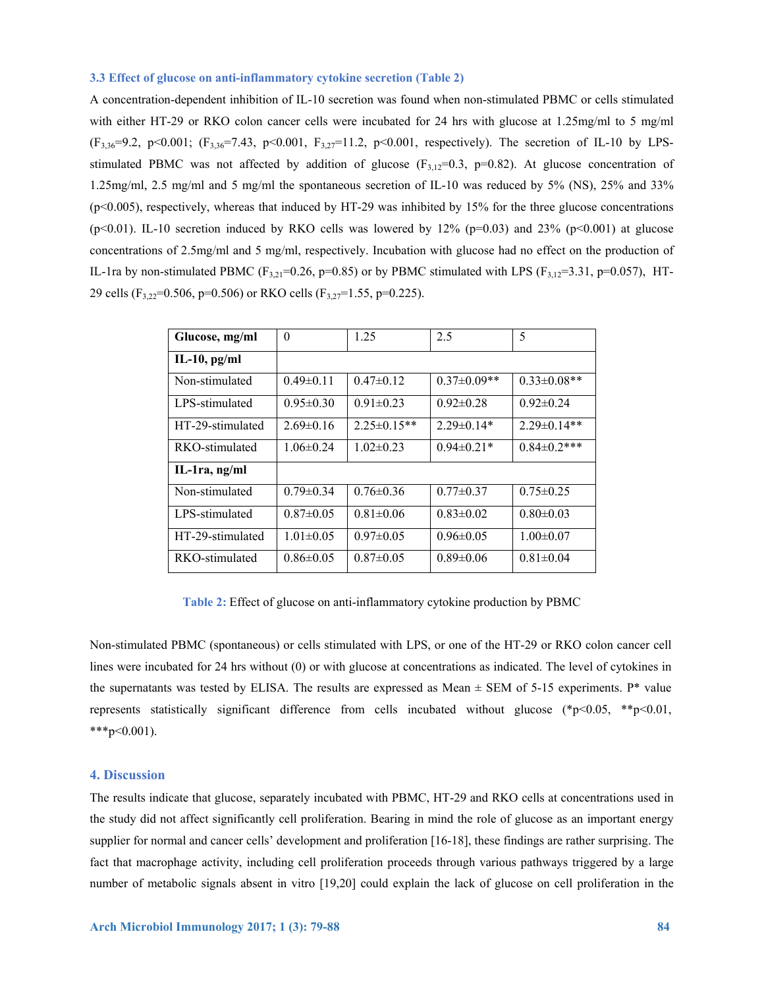#### **3.3 Effect of glucose on anti-inflammatory cytokine secretion (Table 2)**

A concentration-dependent inhibition of IL-10 secretion was found when non-stimulated PBMC or cells stimulated with either HT-29 or RKO colon cancer cells were incubated for 24 hrs with glucose at 1.25mg/ml to 5 mg/ml  $(F_{3,36}=9.2, p<0.001; (F_{3,36}=7.43, p<0.001, F_{3,27}=11.2, p<0.001,$  respectively). The secretion of IL-10 by LPSstimulated PBMC was not affected by addition of glucose  $(F_{3,12}=0.3, p=0.82)$ . At glucose concentration of 1.25mg/ml, 2.5 mg/ml and 5 mg/ml the spontaneous secretion of IL-10 was reduced by 5% (NS), 25% and 33% (p<0.005), respectively, whereas that induced by HT-29 was inhibited by 15% for the three glucose concentrations (p<0.01). IL-10 secretion induced by RKO cells was lowered by  $12\%$  (p=0.03) and 23% (p<0.001) at glucose concentrations of 2.5mg/ml and 5 mg/ml, respectively. Incubation with glucose had no effect on the production of IL-1ra by non-stimulated PBMC (F<sub>3,21</sub>=0.26, p=0.85) or by PBMC stimulated with LPS (F<sub>3,12</sub>=3.31, p=0.057), HT-29 cells (F3,22=0.506, p=0.506) or RKO cells (F3,27=1.55, p=0.225).

| Glucose, mg/ml   | $\theta$        | 1.25              | 2.5               | 5                  |
|------------------|-----------------|-------------------|-------------------|--------------------|
| IL-10, $pg/ml$   |                 |                   |                   |                    |
| Non-stimulated   | $0.49\pm0.11$   | $0.47 \pm 0.12$   | $0.37 \pm 0.09**$ | $0.33 \pm 0.08$ ** |
| LPS-stimulated   | $0.95 \pm 0.30$ | $0.91 \pm 0.23$   | $0.92 \pm 0.28$   | $0.92 \pm 0.24$    |
| HT-29-stimulated | $2.69\pm0.16$   | $2.25 \pm 0.15**$ | $2.29 \pm 0.14*$  | $2.29\pm 0.14**$   |
| RKO-stimulated   | $1.06 \pm 0.24$ | $1.02 \pm 0.23$   | $0.94 \pm 0.21*$  | $0.84 \pm 0.2$ *** |
| IL-1ra, $ng/ml$  |                 |                   |                   |                    |
| Non-stimulated   | $0.79 \pm 0.34$ | $0.76 \pm 0.36$   | $0.77 \pm 0.37$   | $0.75 \pm 0.25$    |
| LPS-stimulated   | $0.87 \pm 0.05$ | $0.81 \pm 0.06$   | $0.83 \pm 0.02$   | $0.80 \pm 0.03$    |
| HT-29-stimulated | $1.01 \pm 0.05$ | $0.97 \pm 0.05$   | $0.96 \pm 0.05$   | $1.00 \pm 0.07$    |
| RKO-stimulated   | $0.86 \pm 0.05$ | $0.87 \pm 0.05$   | $0.89 \pm 0.06$   | $0.81 \pm 0.04$    |

**Table 2:** Effect of glucose on anti-inflammatory cytokine production by PBMC

Non-stimulated PBMC (spontaneous) or cells stimulated with LPS, or one of the HT-29 or RKO colon cancer cell lines were incubated for 24 hrs without (0) or with glucose at concentrations as indicated. The level of cytokines in the supernatants was tested by ELISA. The results are expressed as Mean  $\pm$  SEM of 5-15 experiments. P\* value represents statistically significant difference from cells incubated without glucose  $(*p<0.05, **p<0.01,$ \*\*\*p< $0.001$ ).

## **4. Discussion**

The results indicate that glucose, separately incubated with PBMC, HT-29 and RKO cells at concentrations used in the study did not affect significantly cell proliferation. Bearing in mind the role of glucose as an important energy supplier for normal and cancer cells' development and proliferation [16-18], these findings are rather surprising. The fact that macrophage activity, including cell proliferation proceeds through various pathways triggered by a large number of metabolic signals absent in vitro [19,20] could explain the lack of glucose on cell proliferation in the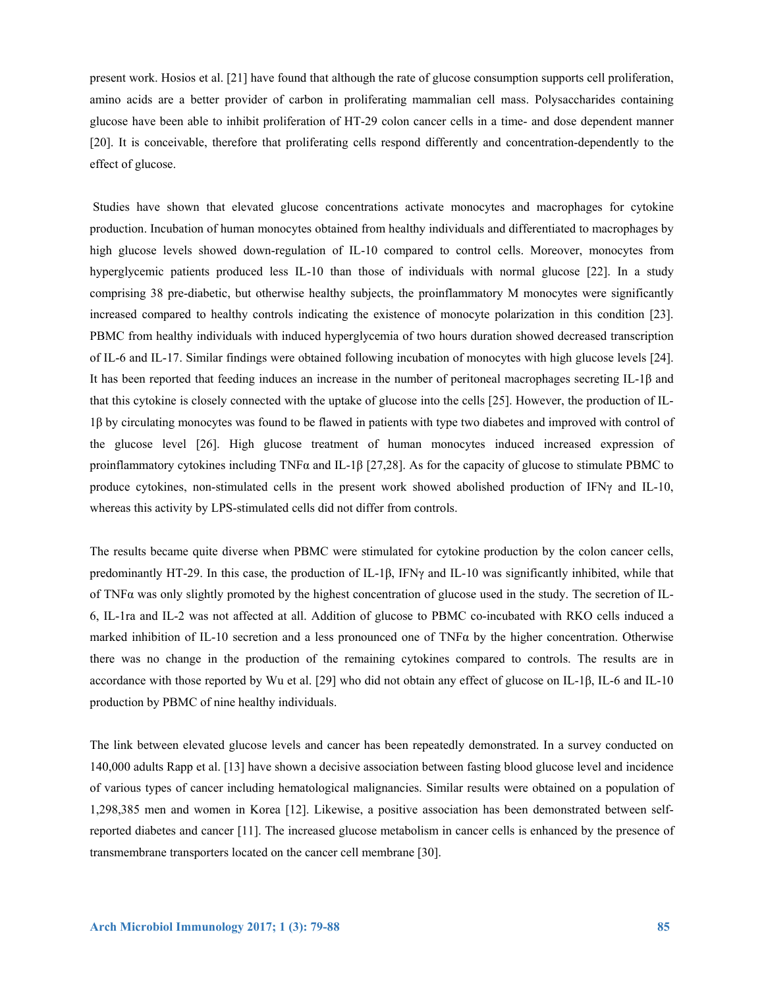present work. Hosios et al. [21] have found that although the rate of glucose consumption supports cell proliferation, amino acids are a better provider of carbon in proliferating mammalian cell mass. Polysaccharides containing glucose have been able to inhibit proliferation of HT-29 colon cancer cells in a time- and dose dependent manner [20]. It is conceivable, therefore that proliferating cells respond differently and concentration-dependently to the effect of glucose.

 Studies have shown that elevated glucose concentrations activate monocytes and macrophages for cytokine production. Incubation of human monocytes obtained from healthy individuals and differentiated to macrophages by high glucose levels showed down-regulation of IL-10 compared to control cells. Moreover, monocytes from hyperglycemic patients produced less IL-10 than those of individuals with normal glucose [22]. In a study comprising 38 pre-diabetic, but otherwise healthy subjects, the proinflammatory M monocytes were significantly increased compared to healthy controls indicating the existence of monocyte polarization in this condition [23]. PBMC from healthy individuals with induced hyperglycemia of two hours duration showed decreased transcription of IL-6 and IL-17. Similar findings were obtained following incubation of monocytes with high glucose levels [24]. It has been reported that feeding induces an increase in the number of peritoneal macrophages secreting IL-1β and that this cytokine is closely connected with the uptake of glucose into the cells [25]. However, the production of IL-1β by circulating monocytes was found to be flawed in patients with type two diabetes and improved with control of the glucose level [26]. High glucose treatment of human monocytes induced increased expression of proinflammatory cytokines including TNFα and IL-1β [27,28]. As for the capacity of glucose to stimulate PBMC to produce cytokines, non-stimulated cells in the present work showed abolished production of IFNγ and IL-10, whereas this activity by LPS-stimulated cells did not differ from controls.

The results became quite diverse when PBMC were stimulated for cytokine production by the colon cancer cells, predominantly HT-29. In this case, the production of IL-1β, IFNγ and IL-10 was significantly inhibited, while that of TNFα was only slightly promoted by the highest concentration of glucose used in the study. The secretion of IL-6, IL-1ra and IL-2 was not affected at all. Addition of glucose to PBMC co-incubated with RKO cells induced a marked inhibition of IL-10 secretion and a less pronounced one of TNF $\alpha$  by the higher concentration. Otherwise there was no change in the production of the remaining cytokines compared to controls. The results are in accordance with those reported by Wu et al. [29] who did not obtain any effect of glucose on IL-1β, IL-6 and IL-10 production by PBMC of nine healthy individuals.

The link between elevated glucose levels and cancer has been repeatedly demonstrated. In a survey conducted on 140,000 adults Rapp et al. [13] have shown a decisive association between fasting blood glucose level and incidence of various types of cancer including hematological malignancies. Similar results were obtained on a population of 1,298,385 men and women in Korea [12]. Likewise, a positive association has been demonstrated between selfreported diabetes and cancer [11]. The increased glucose metabolism in cancer cells is enhanced by the presence of transmembrane transporters located on the cancer cell membrane [30].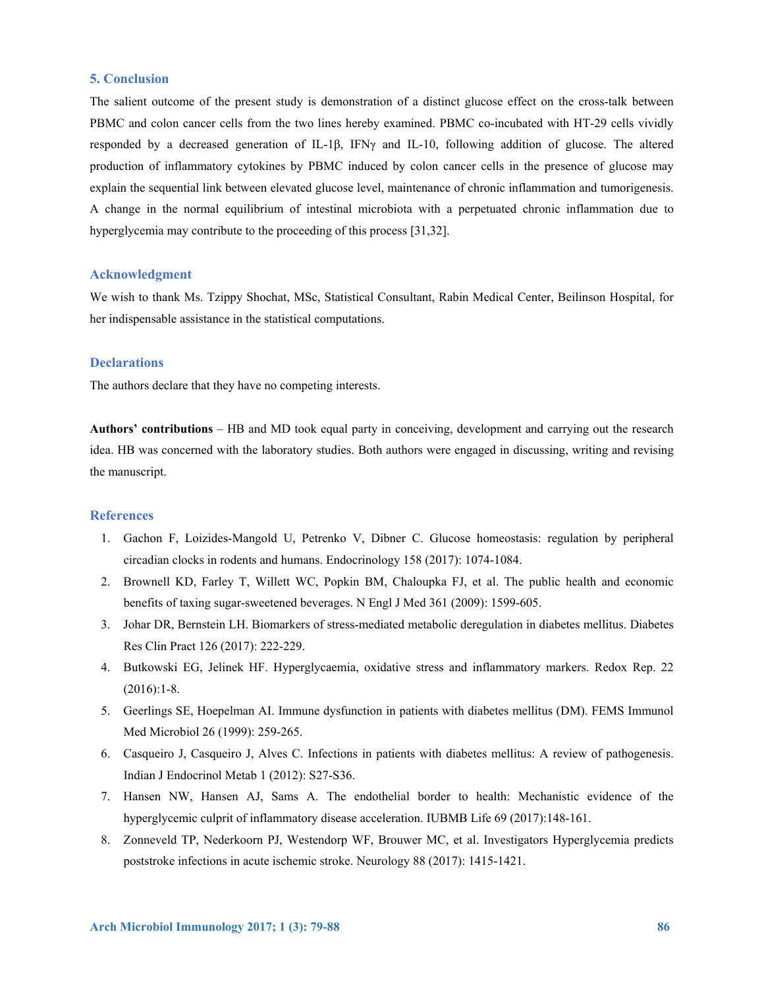#### **5. Conclusion**

The salient outcome of the present study is demonstration of a distinct glucose effect on the cross-talk between PBMC and colon cancer cells from the two lines hereby examined. PBMC co-incubated with HT-29 cells vividly responded by a decreased generation of IL-1β, IFNγ and IL-10, following addition of glucose. The altered production of inflammatory cytokines by PBMC induced by colon cancer cells in the presence of glucose may explain the sequential link between elevated glucose level, maintenance of chronic inflammation and tumorigenesis. A change in the normal equilibrium of intestinal microbiota with a perpetuated chronic inflammation due to hyperglycemia may contribute to the proceeding of this process [31,32].

# **Acknowledgment**

We wish to thank Ms. Tzippy Shochat, MSc, Statistical Consultant, Rabin Medical Center, Beilinson Hospital, for her indispensable assistance in the statistical computations.

# **Declarations**

The authors declare that they have no competing interests.

**Authors' contributions** – HB and MD took equal party in conceiving, development and carrying out the research idea. HB was concerned with the laboratory studies. Both authors were engaged in discussing, writing and revising the manuscript.

#### **References**

- 1. Gachon F, Loizides-Mangold U, Petrenko V, Dibner C. Glucose homeostasis: regulation by peripheral circadian clocks in rodents and humans. Endocrinology 158 (2017): 1074-1084.
- 2. Brownell KD, Farley T, Willett WC, Popkin BM, Chaloupka FJ, et al. The public health and economic benefits of taxing sugar-sweetened beverages. N Engl J Med 361 (2009): 1599-605.
- 3. Johar DR, Bernstein LH. Biomarkers of stress-mediated metabolic deregulation in diabetes mellitus. Diabetes Res Clin Pract 126 (2017): 222-229.
- 4. Butkowski EG, Jelinek HF. Hyperglycaemia, oxidative stress and inflammatory markers. Redox Rep. 22  $(2016):1-8.$
- 5. Geerlings SE, Hoepelman AI. Immune dysfunction in patients with diabetes mellitus (DM). FEMS Immunol Med Microbiol 26 (1999): 259-265.
- 6. Casqueiro J, Casqueiro J, Alves C. Infections in patients with diabetes mellitus: A review of pathogenesis. Indian J Endocrinol Metab 1 (2012): S27-S36.
- 7. Hansen NW, Hansen AJ, Sams A. The endothelial border to health: Mechanistic evidence of the hyperglycemic culprit of inflammatory disease acceleration. IUBMB Life 69 (2017):148-161.
- 8. Zonneveld TP, Nederkoorn PJ, Westendorp WF, Brouwer MC, et al. Investigators Hyperglycemia predicts poststroke infections in acute ischemic stroke. Neurology 88 (2017): 1415-1421.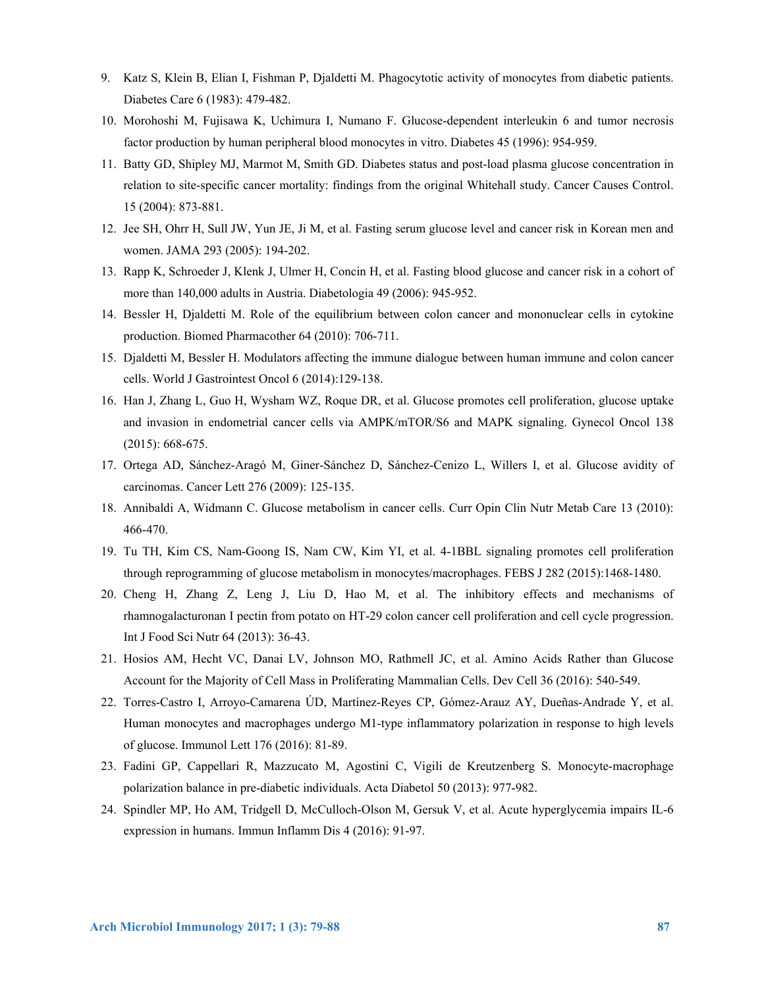- 9. Katz S, Klein B, Elian I, Fishman P, Djaldetti M. Phagocytotic activity of monocytes from diabetic patients. Diabetes Care 6 (1983): 479-482.
- 10. Morohoshi M, Fujisawa K, Uchimura I, Numano F. Glucose-dependent interleukin 6 and tumor necrosis factor production by human peripheral blood monocytes in vitro. Diabetes 45 (1996): 954-959.
- 11. Batty GD, Shipley MJ, Marmot M, Smith GD. Diabetes status and post-load plasma glucose concentration in relation to site-specific cancer mortality: findings from the original Whitehall study. Cancer Causes Control. 15 (2004): 873-881.
- 12. Jee SH, Ohrr H, Sull JW, Yun JE, Ji M, et al. Fasting serum glucose level and cancer risk in Korean men and women. JAMA 293 (2005): 194-202.
- 13. Rapp K, Schroeder J, Klenk J, Ulmer H, Concin H, et al. Fasting blood glucose and cancer risk in a cohort of more than 140,000 adults in Austria. Diabetologia 49 (2006): 945-952.
- 14. Bessler H, Djaldetti M. Role of the equilibrium between colon cancer and mononuclear cells in cytokine production. Biomed Pharmacother 64 (2010): 706-711.
- 15. Djaldetti M, Bessler H. Modulators affecting the immune dialogue between human immune and colon cancer cells. World J Gastrointest Oncol 6 (2014):129-138.
- 16. Han J, Zhang L, Guo H, Wysham WZ, Roque DR, et al. Glucose promotes cell proliferation, glucose uptake and invasion in endometrial cancer cells via AMPK/mTOR/S6 and MAPK signaling. Gynecol Oncol 138 (2015): 668-675.
- 17. Ortega AD, Sánchez-Aragó M, Giner-Sánchez D, Sánchez-Cenizo L, Willers I, et al. Glucose avidity of carcinomas. Cancer Lett 276 (2009): 125-135.
- 18. Annibaldi A, Widmann C. Glucose metabolism in cancer cells. Curr Opin Clin Nutr Metab Care 13 (2010): 466-470.
- 19. Tu TH, Kim CS, Nam-Goong IS, Nam CW, Kim YI, et al. 4-1BBL signaling promotes cell proliferation through reprogramming of glucose metabolism in monocytes/macrophages. FEBS J 282 (2015):1468-1480.
- 20. Cheng H, Zhang Z, Leng J, Liu D, Hao M, et al. The inhibitory effects and mechanisms of rhamnogalacturonan I pectin from potato on HT-29 colon cancer cell proliferation and cell cycle progression. Int J Food Sci Nutr 64 (2013): 36-43.
- 21. Hosios AM, Hecht VC, Danai LV, Johnson MO, Rathmell JC, et al. Amino Acids Rather than Glucose Account for the Majority of Cell Mass in Proliferating Mammalian Cells. Dev Cell 36 (2016): 540-549.
- 22. Torres-Castro I, Arroyo-Camarena ÚD, Martínez-Reyes CP, Gómez-Arauz AY, Dueñas-Andrade Y, et al. Human monocytes and macrophages undergo M1-type inflammatory polarization in response to high levels of glucose. Immunol Lett 176 (2016): 81-89.
- 23. Fadini GP, Cappellari R, Mazzucato M, Agostini C, Vigili de Kreutzenberg S. Monocyte-macrophage polarization balance in pre-diabetic individuals. Acta Diabetol 50 (2013): 977-982.
- 24. Spindler MP, Ho AM, Tridgell D, McCulloch-Olson M, Gersuk V, et al. Acute hyperglycemia impairs IL-6 expression in humans. Immun Inflamm Dis 4 (2016): 91-97.